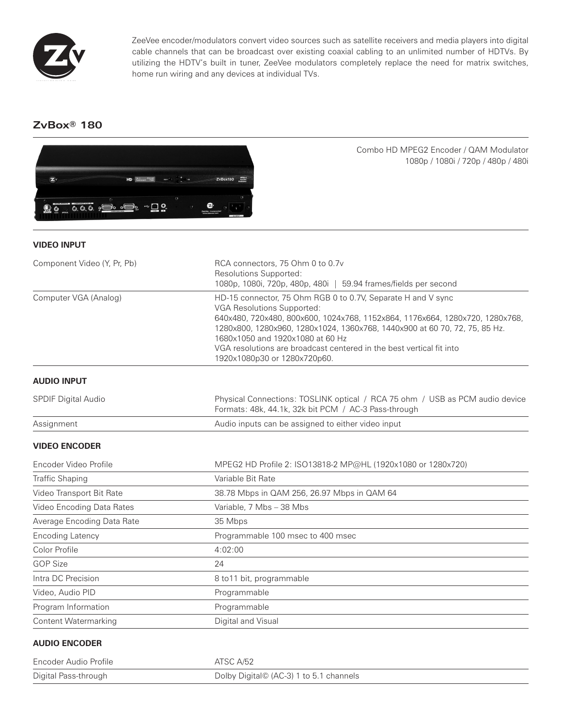

ZeeVee encoder/modulators convert video sources such as satellite receivers and media players into digital cable channels that can be broadcast over existing coaxial cabling to an unlimited number of HDTVs. By utilizing the HDTV's built in tuner, ZeeVee modulators completely replace the need for matrix switches, home run wiring and any devices at individual TVs.

# **ZvBox® 180**



Combo HD MPEG2 Encoder / QAM Modulator 1080p / 1080i / 720p / 480p / 480i

# **VIDEO INPUT**

| Component Video (Y, Pr, Pb) | RCA connectors, 75 Ohm 0 to 0.7v<br>Resolutions Supported:<br>1080p, 1080i, 720p, 480p, 480i   59.94 frames/fields per second                                                                                                                                                                                                                                                                        |
|-----------------------------|------------------------------------------------------------------------------------------------------------------------------------------------------------------------------------------------------------------------------------------------------------------------------------------------------------------------------------------------------------------------------------------------------|
| Computer VGA (Analog)       | HD-15 connector, 75 Ohm RGB 0 to 0.7V, Separate H and V sync<br>VGA Resolutions Supported:<br>640x480, 720x480, 800x600, 1024x768, 1152x864, 1176x664, 1280x720, 1280x768,<br>1280x800, 1280x960, 1280x1024, 1360x768, 1440x900 at 60 70, 72, 75, 85 Hz.<br>1680x1050 and 1920x1080 at 60 Hz<br>VGA resolutions are broadcast centered in the best vertical fit into<br>1920x1080p30 or 1280x720p60. |
| <b>AUDIO INPUT</b>          |                                                                                                                                                                                                                                                                                                                                                                                                      |
| <b>SPDIF Digital Audio</b>  | Physical Connections: TOSLINK optical / RCA 75 ohm / USB as PCM audio device<br>Formats: 48k, 44.1k, 32k bit PCM / AC-3 Pass-through                                                                                                                                                                                                                                                                 |
| Assignment                  | Audio inputs can be assigned to either video input                                                                                                                                                                                                                                                                                                                                                   |
| <b>VIDEO ENCODER</b>        |                                                                                                                                                                                                                                                                                                                                                                                                      |
| Encoder Video Profile       | MPEG2 HD Profile 2: ISO13818-2 MP@HL (1920x1080 or 1280x720)                                                                                                                                                                                                                                                                                                                                         |
| <b>Traffic Shaping</b>      | Variable Bit Rate                                                                                                                                                                                                                                                                                                                                                                                    |
| Video Transport Bit Rate    | 38.78 Mbps in QAM 256, 26.97 Mbps in QAM 64                                                                                                                                                                                                                                                                                                                                                          |
| Video Encoding Data Rates   | Variable, 7 Mbs - 38 Mbs                                                                                                                                                                                                                                                                                                                                                                             |
| Average Encoding Data Rate  | 35 Mbps                                                                                                                                                                                                                                                                                                                                                                                              |
| <b>Encoding Latency</b>     | Programmable 100 msec to 400 msec                                                                                                                                                                                                                                                                                                                                                                    |
| Color Profile               | 4:02:00                                                                                                                                                                                                                                                                                                                                                                                              |
| <b>GOP Size</b>             | 24                                                                                                                                                                                                                                                                                                                                                                                                   |
| Intra DC Precision          | 8 to 11 bit, programmable                                                                                                                                                                                                                                                                                                                                                                            |
| Video, Audio PID            | Programmable                                                                                                                                                                                                                                                                                                                                                                                         |
| Program Information         | Programmable                                                                                                                                                                                                                                                                                                                                                                                         |
| <b>Content Watermarking</b> | Digital and Visual                                                                                                                                                                                                                                                                                                                                                                                   |

## **AUDIO ENCODER**

| Encoder Audio Profile | ATSC A/52                               |
|-----------------------|-----------------------------------------|
| Digital Pass-through  | Dolby Digital© (AC-3) 1 to 5.1 channels |